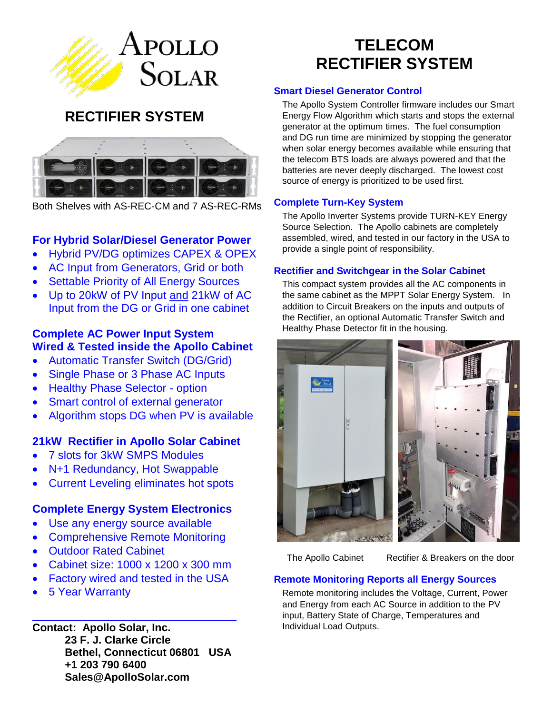

# **RECTIFIER SYSTEM**



Both Shelves with AS-REC-CM and 7 AS-REC-RMs

## **For Hybrid Solar/Diesel Generator Power**

- Hybrid PV/DG optimizes CAPEX & OPEX
- AC Input from Generators, Grid or both
- Settable Priority of All Energy Sources
- Up to 20kW of PV Input and 21kW of AC Input from the DG or Grid in one cabinet

## **Complete AC Power Input System Wired & Tested inside the Apollo Cabinet**

- Automatic Transfer Switch (DG/Grid)
- Single Phase or 3 Phase AC Inputs
- Healthy Phase Selector option
- Smart control of external generator
- Algorithm stops DG when PV is available

## **21kW Rectifier in Apollo Solar Cabinet**

- 7 slots for 3kW SMPS Modules
- N+1 Redundancy, Hot Swappable
- Current Leveling eliminates hot spots

## **Complete Energy System Electronics**

- Use any energy source available
- Comprehensive Remote Monitoring
- Outdoor Rated Cabinet
- Cabinet size: 1000 x 1200 x 300 mm
- Factory wired and tested in the USA

\_\_\_\_\_\_\_\_\_\_\_\_\_\_\_\_\_\_\_\_\_\_\_\_\_\_\_\_\_\_\_\_\_\_\_\_\_

5 Year Warranty

**Contact: Apollo Solar, Inc. 23 F. J. Clarke Circle Bethel, Connecticut 06801 USA +1 203 790 6400 Sales@ApolloSolar.com**

# **TELECOM RECTIFIER SYSTEM**

## **Smart Diesel Generator Control**

The Apollo System Controller firmware includes our Smart Energy Flow Algorithm which starts and stops the external generator at the optimum times. The fuel consumption and DG run time are minimized by stopping the generator when solar energy becomes available while ensuring that the telecom BTS loads are always powered and that the batteries are never deeply discharged. The lowest cost source of energy is prioritized to be used first.

## **Complete Turn-Key System**

The Apollo Inverter Systems provide TURN-KEY Energy Source Selection. The Apollo cabinets are completely assembled, wired, and tested in our factory in the USA to provide a single point of responsibility.

## **Rectifier and Switchgear in the Solar Cabinet**

This compact system provides all the AC components in the same cabinet as the MPPT Solar Energy System. In addition to Circuit Breakers on the inputs and outputs of the Rectifier, an optional Automatic Transfer Switch and Healthy Phase Detector fit in the housing.



The Apollo Cabinet Rectifier & Breakers on the door

## **Remote Monitoring Reports all Energy Sources**

Remote monitoring includes the Voltage, Current, Power and Energy from each AC Source in addition to the PV input, Battery State of Charge, Temperatures and Individual Load Outputs.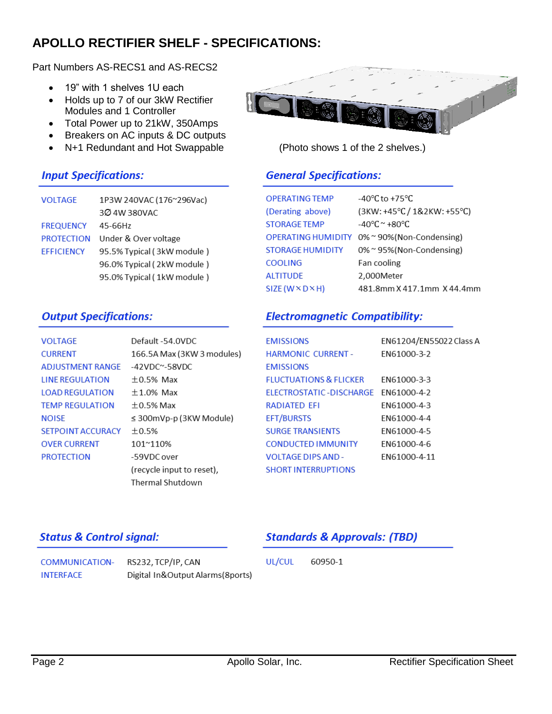# **APOLLO RECTIFIER SHELF - SPECIFICATIONS:**

Part Numbers AS-RECS1 and AS-RECS2

- 19" with 1 shelves 1U each
- Holds up to 7 of our 3kW Rectifier Modules and 1 Controller
- Total Power up to 21kW, 350Amps
- Breakers on AC inputs & DC outputs
- N+1 Redundant and Hot Swappable (Photo shows 1 of the 2 shelves.)

3Ø 4W 380VAC

PROTECTION Under & Over voltage

1P3W 240VAC (176~296Vac)

95.5% Typical (3kW module) 96.0% Typical (2kW module) 95.0% Typical (1kW module)



FREQUENCY 45-66Hz

**VOLTAGE** 

**EFFICIENCY** 

|  | $\sim$ | $\sim$ |  |
|--|--------|--------|--|
|  |        |        |  |
|  |        |        |  |
|  | u.     |        |  |

# **General Specifications:**

| <b>OPERATING TEMP</b>            | $-40^{\circ}$ C to $+75^{\circ}$ C. |
|----------------------------------|-------------------------------------|
| (Derating above)                 | $(3KW: +45°C / 1&2KW: +55°C)$       |
| <b>STORAGE TEMP</b>              | $-40^{\circ}$ C ~ $+80^{\circ}$ C   |
| OPERATING HUMIDITY               | 0%~90%(Non-Condensing)              |
| STORAGE HUMIDITY                 | 0% ~ 95% (Non-Condensing)           |
| <b>COOLING</b>                   | Fan cooling                         |
| <b>ALTITUDE</b>                  | 2,000Meter                          |
| $SIZE$ (W $\times$ D $\times$ H) | 481.8mm X 417.1mm X 44.4mm          |

## **Output Specifications:**

# **Electromagnetic Compatibility:**

| VOLTAGE                  | Default -54.0VDC             | <b>EMISSIONS</b>                    | EN61204/EN55022 Class A |
|--------------------------|------------------------------|-------------------------------------|-------------------------|
| <b>CURRENT</b>           | 166.5A Max (3KW 3 modules)   | <b>HARMONIC CURRENT -</b>           | EN61000-3-2             |
| <b>ADJUSTMENT RANGE</b>  | $-42$ VDC $^{\sim}$ -58VDC   | <b>EMISSIONS</b>                    |                         |
| <b>LINE REGULATION</b>   | $\pm 0.5\%$ Max              | <b>FLUCTUATIONS &amp; FLICKER</b>   | EN61000-3-3             |
| <b>LOAD REGULATION</b>   | $\pm$ 1.0% Max               | ELECTROSTATIC-DISCHARGE EN61000-4-2 |                         |
| <b>TEMP REGULATION</b>   | $\pm$ 0.5% Max               | <b>RADIATED EFI</b>                 | EN61000-4-3             |
| NOISE                    | $\leq$ 300mVp-p (3KW Module) | <b>EFT/BURSTS</b>                   | EN61000-4-4             |
| <b>SETPOINT ACCURACY</b> | ±0.5%                        | <b>SURGE TRANSIENTS</b>             | EN61000-4-5             |
| <b>OVER CURRENT</b>      | 101~110%                     | <b>CONDUCTED IMMUNITY</b>           | EN61000-4-6             |
| <b>PROTECTION</b>        | -59VDC over                  | <b>VOLTAGE DIPS AND -</b>           | EN61000-4-11            |
|                          | (recycle input to reset),    | <b>SHORT INTERRUPTIONS</b>          |                         |
|                          | Thermal Shutdown             |                                     |                         |

# **Status & Control signal:**

# **Standards & Approvals: (TBD)**

| COMMUNICATION- RS232, TCP/IP, CAN |                                   | UL/CUL | 60950-1 |  |
|-----------------------------------|-----------------------------------|--------|---------|--|
| INTERFACE                         | Digital In&Output Alarms (8ports) |        |         |  |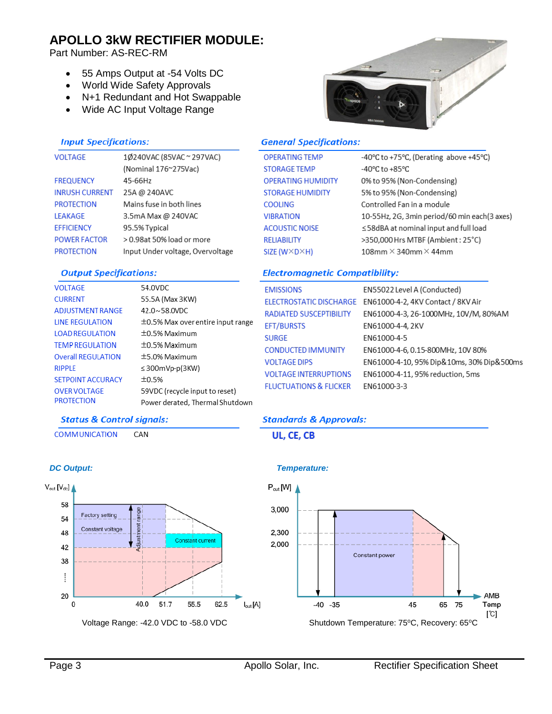# **APOLLO 3kW RECTIFIER MODULE:**

Part Number: AS-REC-RM

- 55 Amps Output at -54 Volts DC
- World Wide Safety Approvals
- N+1 Redundant and Hot Swappable
- Wide AC Input Voltage Range



-40°C to +75°C, (Derating above +45°C)

10-55Hz, 2G, 3min period/60 min each(3 axes)

≤58dBA at nominal input and full load

>350,000 Hrs MTBF (Ambient: 25°C)

0% to 95% (Non-Condensing)

5% to 95% (Non-Condensing)

Controlled Fan in a module

 $108$ mm  $\times$  340mm  $\times$  44mm

#### **Input Specifications:**

| <b>VOLTAGE</b>        | 1Ø240VAC (85VAC ~ 297VAC)        |
|-----------------------|----------------------------------|
|                       | (Nominal 176~275Vac)             |
| <b>FREQUENCY</b>      | 45-66Hz                          |
| <b>INRUSH CURRENT</b> | 25A @ 240AVC                     |
| <b>PROTECTION</b>     | Mains fuse in both lines         |
| <b>IFAKAGE</b>        | 3.5mA Max @ 240VAC               |
| <b>FFFICIENCY</b>     | 95.5% Typical                    |
| <b>POWER FACTOR</b>   | > 0.98at 50% load or more        |
| <b>PROTECTION</b>     | Input Under voltage, Overvoltage |

### **Output Specifications:**

**Status & Control signals:** 

CAN

| VOLTAGE                   | 54.0VDC                                |
|---------------------------|----------------------------------------|
| <b>CURRENT</b>            | 55.5A (Max 3KW)                        |
| ADJUSTMENT RANGE          | $42.0 \times 58.0$ VDC                 |
| <b>LINE REGULATION</b>    | $\pm$ 0.5% Max over entire input range |
| <b>LOAD REGULATION</b>    | $\pm 0.5\%$ Maximum                    |
| <b>TEMP REGULATION</b>    | $\pm$ 0.5% Maximum                     |
| <b>Overall REGULATION</b> | $\pm$ 5.0% Maximum                     |
| RIPPLE                    | $\leq$ 300mVp-p(3KW)                   |
| <b>SETPOINT ACCURACY</b>  | ±0.5%                                  |
| <b>OVER VOLTAGE</b>       | 59VDC (recycle input to reset)         |
| PROTECTION                | Power derated, Thermal Shutdown        |
|                           |                                        |

## **Electromagnetic Compatibility:**

**General Specifications:** 

**OPERATING TEMP** 

**OPERATING HUMIDITY STORAGE HUMIDITY** 

**STORAGE TEMP** 

**COOLING** 

**VIBRATION** 

**RELIABILITY** 

**ACOUSTIC NOISE** 

SIZE (W×D×H)

| <b>EMISSIONS</b>                  | EN55022 Level A (Conducted)               |
|-----------------------------------|-------------------------------------------|
| ELECTROSTATIC DISCHARGE           | EN61000-4-2, 4KV Contact / 8KV Air        |
| <b>RADIATED SUSCEPTIBILITY</b>    | EN61000-4-3, 26-1000MHz, 10V/M, 80%AM     |
| <b>EFT/BURSTS</b>                 | EN61000-4-4, 2KV                          |
| <b>SURGE</b>                      | EN61000-4-5                               |
| <b>CONDUCTED IMMUNITY</b>         | EN61000-4-6, 0.15-800MHz, 10V 80%         |
| <b>VOLTAGE DIPS</b>               | EN61000-4-10, 95% Dip&10ms, 30% Dip&500ms |
| <b>VOLTAGE INTERRUPTIONS</b>      | EN61000-4-11, 95% reduction, 5ms          |
| <b>FLUCTUATIONS &amp; FLICKER</b> | FN61000-3-3                               |
|                                   |                                           |

-40°C to +85°C

## **Standards & Approvals:**





#### *DC Output: Temperature:*



**COMMUNICATION**